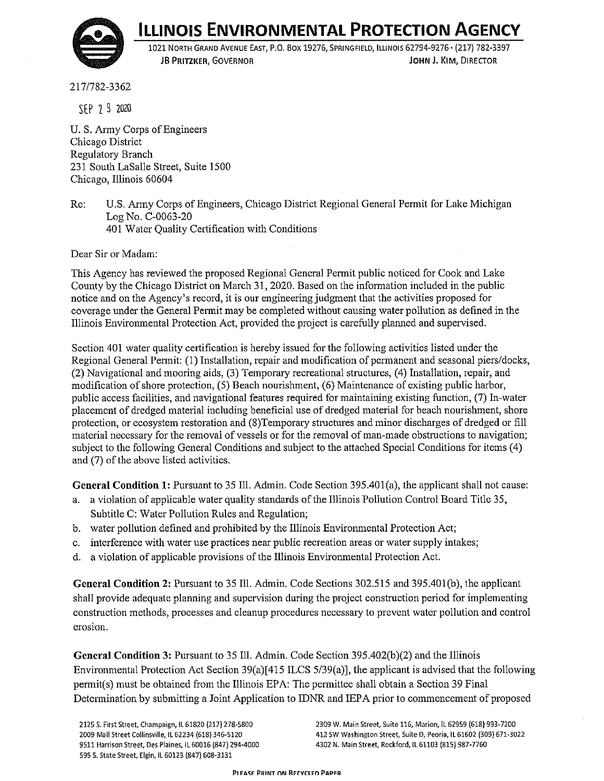

## **ILLINOIS ENVIRONMENTAL PROTECTION AGENCY**

1021 NORTH GRAND AVENUE EAST, P.O. Box 19276, SPRINGFIELD, ILLINOIS 62794-9276 • (217) 782-3397 **JB PRITZKER, GOVERNOR JOHN J. KIM,** DIRECTOR

217 /782-3362

SEP 2 9 2020

U.S. Army Corps of Engineers Chicago District Regulatory Branch 231 South LaSalle Street, Suite 1500 Chicago, Illinois 60604

Re: U.S. Army Corps of Engineers, Chicago District Regional General Permit for Lake Michigan Log No. C-0063-20 401 Water Quality Certification with Conditions

Dear Sir or Madam:

This Agency has reviewed the proposed Regional General Permit public noticed for Cook and Lake County by the Chicago District on March 31, 2020. Based on the information included in the public notice and on the Agency's record, it is our engineering judgment that the activities proposed for coverage under the General Permit may be completed without causing water pollution as defined in the Illinois Enviromnental Protection Act, provided the project is carefully planned and supervised.

Section 401 water quality certification is hereby issued for the following activities listed under the Regional General Permit: (1) Installation, repair and modification of permanent and seasonal piers/docks, (2) Navigational and mooring aids, (3) Temporary recreational structures, ( 4) Installation, repair, and modification of shore protection, (5) Beach nourishment, (6) Maintenance of existing public harbor, public access facilities, and navigational features required for maintaining existing function, (7) In-water placement of dredged material including beneficial use of dredged material for beach nourishment, shore protection, or ecosystem restoration and (8)Temporary structures and minor discharges of dredged or fill material necessary for the removal of vessels or for the removal of man-made obstructions to navigation; subject to the following General Conditions and subject to the attached Special Conditions for items (4) and (7) of the above listed activities.

General Condition 1: Pursuant to 35 Ill. Admin. Code Section 395.401(a), the applicant shall not cause:

- a. a violation of applicable water quality standards of the Illinois Pollution Control Board Title 35, Subtitle C: Water Pollution Rules and Regulation;
- b. water pollution defined and prohibited by the Illinois Enviromnental Protection Act;
- c. interference with water use practices near public recreation areas or water supply intakes;
- d. a violation of applicable provisions of the Illinois Enviromnental Protection Act.

**General Condition 2:** Pursuant to 35 Ill. Admin. Code Sections 302.515 and 395.40l(b), the applicant shall provide adequate planning and supervision during the project construction period for implementing construction methods, processes and cleanup procedures necessary to prevent water pollution and control **erosion.** 

**General Condition 3:** Pursuant to 35 Ill. Admin. Code Section 395.402(b)(2) and the Illinois Environmental Protection Act Section 39(a)[ 415 ILCS 5/39(a)], the applicant is advised that the following permit(s) must be obtained from the Illinois EPA: The permittee shall obtain a Section 39 Final Determination by submitting a Joint Application to IDNR and IEP A prior to commencement of proposed

**2125 S. First Street, Champaign, IL 61820 {217) 278-5800 2009 Mall Street Collinsville, ll 62234 (618) 346-5120 9511 Harrison Street, Des Plaines, IL 60016 (847) 294-4000**  595 S. State Street, Elgin, ll 60123 {847) 608-3131

**2309 W. Main Street, Suite 116, Marion, IL 62959 (618) 993-7200 412 SW Washington Street, Suite D, Peoria, IL 61602 (309) 671-3022 4302 N. Main Street, Rockford, !l 61103 (815) 987-7760**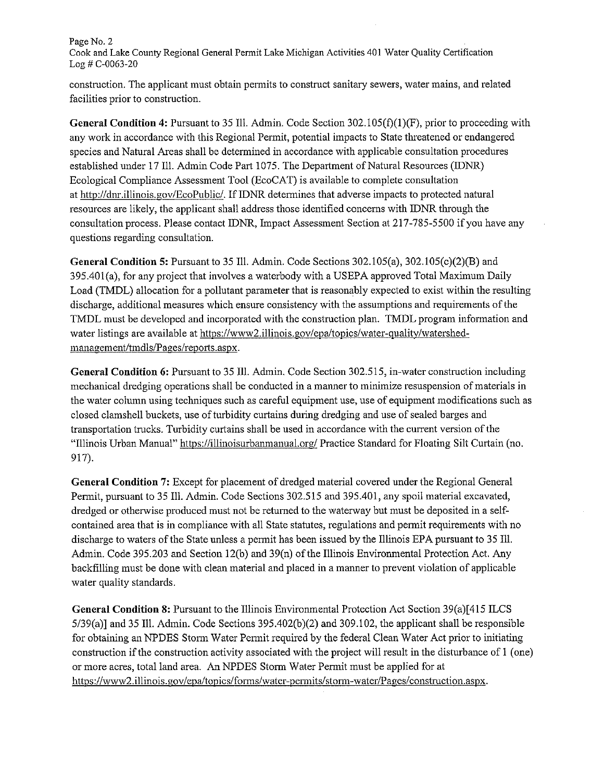## Page No. 2 Cook and Lake County Regional General Permit Lake Michigan Activities 401 Water Quality Certification Log# C-0063-20

construction. The applicant must obtain permits to construct sanitary sewers, water mains, and related facilities prior to construction.

**General Condition 4:** Pursuant to 35 Ill. Admin. Code Section 302.105(f)(l)(F), prior to proceeding with any work in accordance with this Regional Permit, potential impacts to State threatened or endangered species and Natural Areas shall be determined in accordance with applicable consultation procedures established under 17 Ill. Admin Code Part 1075. The Department of Natural Resources (IDNR) Ecological Compliance Assessment Tool (EcoCAT) is available to complete consultation at http://dnr.illinois.gov/EcoPublic/. IfIDNR determines that adverse impacts to protected natural resources are likely, the applicant shall address those identified concerns with IDNR through the consultation process. Please contact IDNR, Impact Assessment Section at 217-785-5500 if you have any questions regarding consultation.

**General Condition 5:** Pursuant to 35 Ill. Admin. Code Sections 302.105(a), 302.105(c)(2)(B) and 395.40l(a), for any project that involves a waterbody with a USEPA approved Total Maximum Daily Load (TMDL) allocation for a pollutant parameter that is reasonably expected to exist within the resulting discharge, additional measures which ensure consistency with the assumptions and requirements of the TMDL must be developed and incorporated with the construction plan. TMDL program information and water listings are available at https://www2.illinois.gov/epa/topics/water-quality/watershedmanagement/tmdls/Pages/reports.aspx.

**General Condition 6:** Pursuant to 35 Ill. Admin. Code Section 302.515, in-water construction including mechanical dredging operations shall be conducted in a manner to minimize resuspension of materials in the water column using techniques such as careful equipment use, use of equipment modifications such as closed clamshell buckets, use of turbidity curtains during dredging and use of sealed barges and transportation trucks. Turbidity curtains shall be used in accordance with the current version of the "Illinois Urban Manual" https://illinoisurbanmanual.org/ Practice Standard for Floating Silt Curtain (no. 917).

**General Condition** 7: Except for placement of dredged material covered under the Regional General Permit, pursuant to 35 Ill. Admin. Code Sections 302.515 and 395.401, any spoil material excavated, dredged or otherwise produced must not be returned to the waterway but must be deposited in a selfcontained area that is in compliance with all State statutes, regulations and permit requirements with no discharge to waters of the State unless a permit has been issued by the Illinois EPA pursuant to 35 Ill. Admin. Code 395.203 and Section 12(b) and 39(n) of the Illinois Environmental Protection Act. Any backfilling must be done with clean material and placed in a manner to prevent violation of applicable water quality standards.

**General Condition 8:** Pursuant to the Illinois Enviromnental Protection Act Section 39(a)[415 ILCS 5/39(a)] and 35 Ill. Admin. Code Sections 395.402(b)(2) and 309.102, the applicant shall be responsible for obtaining an NPDES Storm Water Permit required by the federal Clean Water Act prior to initiating construction if the construction activity associated with the project will result in the disturbance of 1 (one) or more acres, total land area. An NPDES Storm Water Permit must be applied for at https://www2.illinois.gov/epa/topics/forms/water-permits/storm-water/Pages/construction.aspx.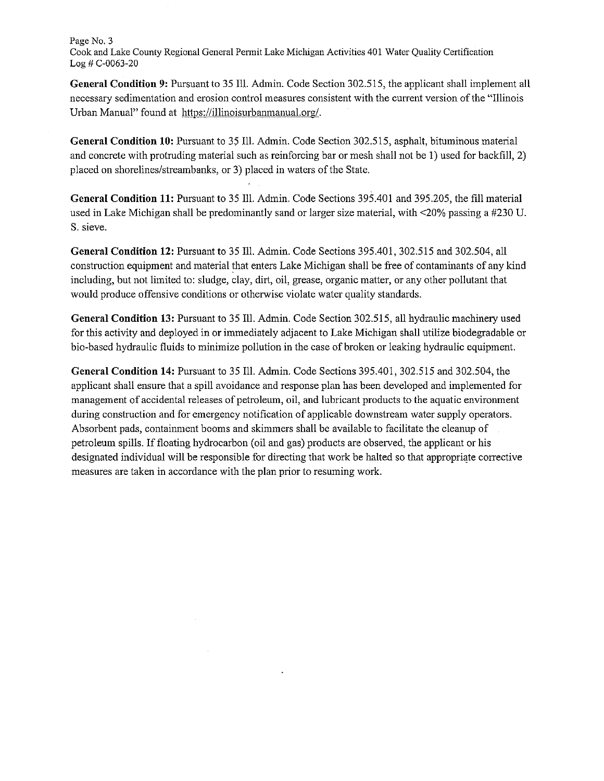## Page No. 3

Cook and Lake County Regional General Permit Lake Michigan Activities 401 Water Ouality Certification Log# C-0063-20

**General Condition 9:** Pursuant to 35 Ill. Admin. Code Section 302.515, the applicant shall implement all necessary sedimentation and erosion control measures consistent with the current version of the "Illinois Urban Manual" found at https://illinoisurbanmanual.org/.

**General Condition 10:** Pursuant to 35 Ill. Admin. Code Section 302.515, asphalt, bituminous material and concrete with protruding material such as reinforcing bar or mesh shall not be 1) used for backfill, 2) placed on shorelines/streambanks, or 3) placed in waters of the State.

**General Condition 11:** Pursuant to 35 Ill. Admin. Code Sections 395.401 and 395.205, the fill material used in Lake Michigan shall be predominantly sand or larger size material, with <20% passing a #230 U. S. sieve.

**General Condition 12:** Pursuant to 35 Ill. Admin. Code Sections 395.401, 302.515 and 302.504, all construction equipment and material that enters Lake Michigan shall be free of contaminants of any kind including, but not limited to: sludge, clay, dirt, oil, grease, organic matter, or any other pollutant that would produce offensive conditions or otherwise violate water quality standards.

**General Condition 13:** Pursuant to 35 Ill. Admin. Code Section 302.515, all hydraulic machinery used for this activity and deployed in or immediately adjacent to Lake Michigan shall utilize biodegradable or bio-based hydraulic fluids to minimize pollution in the case of broken or leaking hydraulic equipment.

**General Condition 14:** Pursuant to 35 Ill. Admin. Code Sections 395.401, 302.515 and 302.504, the applicant shall ensure that a spill avoidance and response plan has been developed and implemented for management of accidental releases of petroleum, oil, and lubricant products to the aquatic enviromnent during construction and for emergency notification of applicable downstream water supply operators. Absorbent pads, contaimnent booms and skimmers shall be available to facilitate the cleanup of petroleum spills. If floating hydrocarbon ( oil and gas) products are observed, the applicant or his designated individual will be responsible for directing that work be halted so that appropriate corrective measures are taken in accordance with the plan prior to resuming work.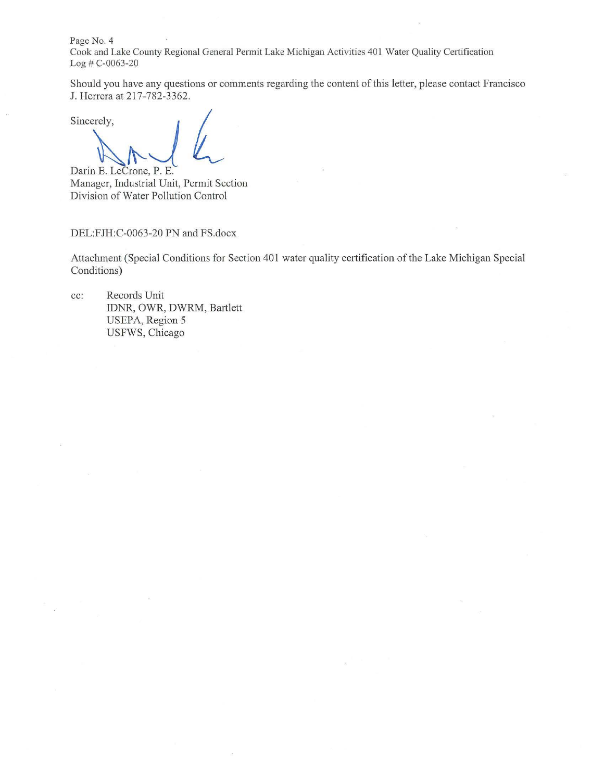Page No. 4

Cook and Lake County Regional General Permit Lake Michigan Activities 401 Water Quality Certification Log # C-0063-20

Should you have any questions or comments regarding the content of this letter, please contact Francisco J. Herrera at 217-782-3362.<br>Sincerely,

Darin E. LeCrone, P. E. Manager, Industrial Unit, Permit Section Division of Water Pollution Control

DEL:FJH:C-0063-20 PN and FS.docx

Attachment (Special Conditions for Section 401 water quality certification of the Lake Michigan Special Conditions)

cc: Records Unit IDNR, OWR, DWRM, Bartlett USEPA, Region 5 USFWS, Chicago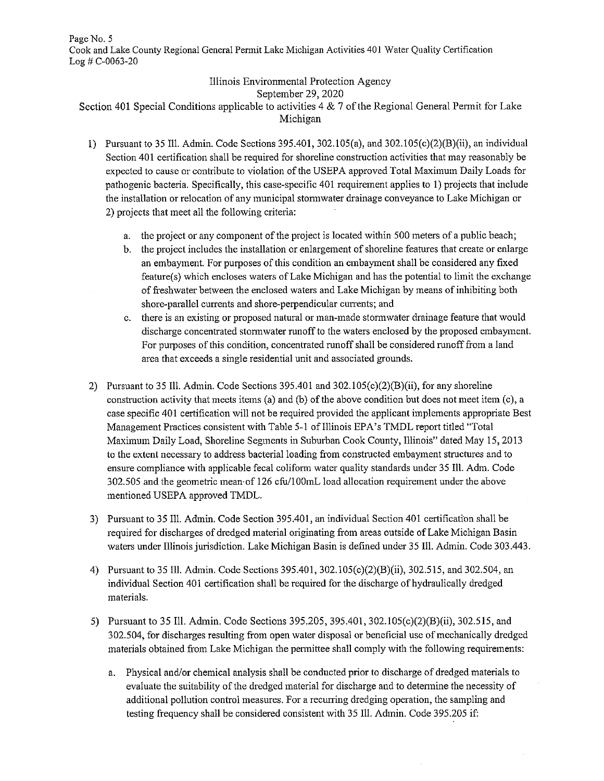Illinois Environmental Protection Agency

September 29, 2020

Section 401 Special Conditions applicable to activities 4 & 7 of the Regional General Permit for Lake Michigan

- I) Pursuant to 35 Ill. Admin. Code Sections 395.401, 302.105(a), and 302.105(c)(2)(B)(ii), an individual Section 401 certification shall be required for shoreline construction activities that may reasonably be expected to cause or contribute to violation of the USEPA approved Total Maximum Daily Loads for pathogenic bacteria. Specifically, this case-specific 401 requirement applies to 1) projects that include the installation or relocation of any municipal stonnwater drainage conveyance to Lake Michigan or 2) projects that meet all the following criteria:
	- a. the project or any component of the project is located within 500 meters of a public beach;
	- b. the project includes the installation or enlargement of shoreline features that create or enlarge an embayment. For purposes of this condition an embayment shall be considered any fixed feature(s) which encloses waters of Lake Michigan and has the potential to limit the exchange of freshwater between the enclosed waters and Lake Michigan by means of inhibiting both shore-parallel currents and shore-perpendicular currents; and
	- c. there is an existing or proposed natural or man-made stonnwater drainage feature that would discharge concentrated stonnwater runoff to the waters enclosed by the proposed embayment. For purposes of this condition, concentrated runoff shall be considered runoff from a land area that exceeds a single residential unit and associated grounds.
- 2) Pursuant to 35 Ill. Admin. Code Sections 395.401 and  $302.105(c)(2)(B)(ii)$ , for any shoreline construction activity that meets items (a) and (b) of the above condition but does not meet item (c), a case specific 401 certification will not be required provided the applicant implements appropriate Best Management Practices consistent with Table 5-1 of Illinois EP A's TMDL report titled "Total Maximum Daily Load, Shoreline Segments in Suburban Cook County, Illinois" dated May 15, 2013 to the extent necessary to address bacterial loading from constructed embayment structures and to ensure compliance with applicable fecal coliform water quality standards under 35 Ill. Adm. Code 302.505 and the geometric mean-of 126 cfu/IOOmL load allocation requirement under the above mentioned USEPA approved TMDL.
- 3) Pursuant to 35 Ill. Admin. Code Section 395.401, an individual Section 401 certification shall be required for discharges of dredged material originating from areas outside of Lake Michigan Basin waters under Illinois jurisdiction. Lake Michigan Basin is defined under 35 Ill. Admin. Code 303.443.
- 4) Pursuant to 35 Ill. Admin. Code Sections 395.401, 302.105(c)(2)(B)(ii), 302.515, and 302.504, an individual Section 401 certification shall be required for the discharge of hydraulically dredged materials.
- 5) Pursuant to 35 Ill. Admin. Code Sections 395.205, 395.401, 302.105(c)(2)(B)(ii), 302.515, and 302.504, for discharges resulting from open water disposal or beneficial use of mechanically dredged materials obtained from Lake Michigan the pennittee shall comply with the following requirements:
	- a. Physical and/or chemical analysis shall be conducted prior to discharge of dredged materials to evaluate the suitability of the dredged material for discharge and to detennine the necessity of additional pollution control measures. For a recurring dredging operation, the sampling and testing frequency shall be considered consistent with 35 Ill. Admin. Code 395.205 if: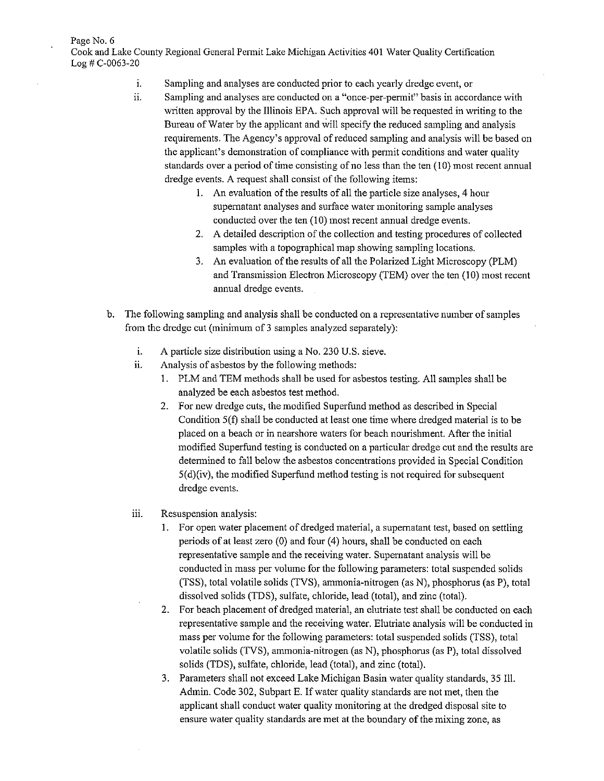Page No. 6 Cook and Lake County Regional General Permit Lake Michigan Activities 401 Water Quality Certification

Log# C-0063-20

- 1. Sampling and analyses are conducted prior to each yearly dredge event, or
- ii. Sampling and analyses are conducted on a "once-per-permit" basis in accordance with written approval by the Illinois EPA. Such approval will be requested in writing to the Bureau of Water by the applicant and will specify the reduced sampling and analysis requirements. The Agency's approval ofreduced sampling and analysis will be based on the applicant's demonstration of compliance with pennit conditions and water quality standards over a period of time consisting of no less than the ten ( 10) most recent annual dredge events. A request shall consist of the following items:
	- I. An evaluation of the results of all the particle size analyses, 4 hour supernatant analyses and surface water monitoring sample analyses conducted over the ten (10) most recent annual dredge events.
	- 2. A detailed description of the collection and testing procedures of collected samples with a topographical map showing sampling locations.
	- 3. An evaluation of the results of all the Polarized Light Microscopy (PLM) and Transmission Electron Microscopy (TEM) over the ten (10) most recent annual dredge events.
- b. The following sampling and analysis shall be conducted on a representative number of samples from the dredge cut (minimum of 3 samples analyzed separately):
	- 1. A particle size distribution using a No. 230 U.S. sieve.
	- ii. Analysis of asbestos by the following methods:
		- I. PLM and TEM methods shall be used for asbestos testing. All samples shall be analyzed be each asbestos test method.
		- 2. For new dredge cuts, the modified Superfund method as described in Special Condition 5(f) shall be conducted at least one time where dredged material is to be placed on a beach or in nearshore waters for beach nourishment. After the initial modified Superfund testing is conducted on a particular dredge cut and the results are detennined to fall below the asbestos concentrations provided in Special Condition 5(d)(iv), the modified Superfund method testing is not required for subsequent dredge events.
	- iii. Resuspension analysis:
		- I. For open water placement of dredged material, a supernatant test, based on settling periods of at least zero  $(0)$  and four  $(4)$  hours, shall be conducted on each representative sample and the receiving water. Supernatant analysis will be conducted in mass per volume for the following parameters: total suspended solids (TSS), total volatile solids (TVS), ammonia-nitrogen (as N), phosphorus (as P), total dissolved solids (TDS), sulfate, chloride, lead (total), and zinc (total).
		- 2. For beach placement of dredged material, an elutriate test shall be conducted on each representative sample and the receiving water. Elutriate analysis will be conducted in mass per volume for the following parameters: total suspended solids (TSS), total volatile solids (TVS), ammonia-nitrogen (as N), phosphorus (as P), total dissolved solids (TDS), sulfate, chloride, lead (total), and zinc (total).
		- 3. Parameters shall not exceed Lake Michigan Basin water quality standards, 35 Ill. Admin. Code 302, Subpart E. If water quality standards are not met, then the applicant shall conduct water quality monitoring at the dredged disposal site to ensure water quality standards are met at the boundary of the mixing zone, as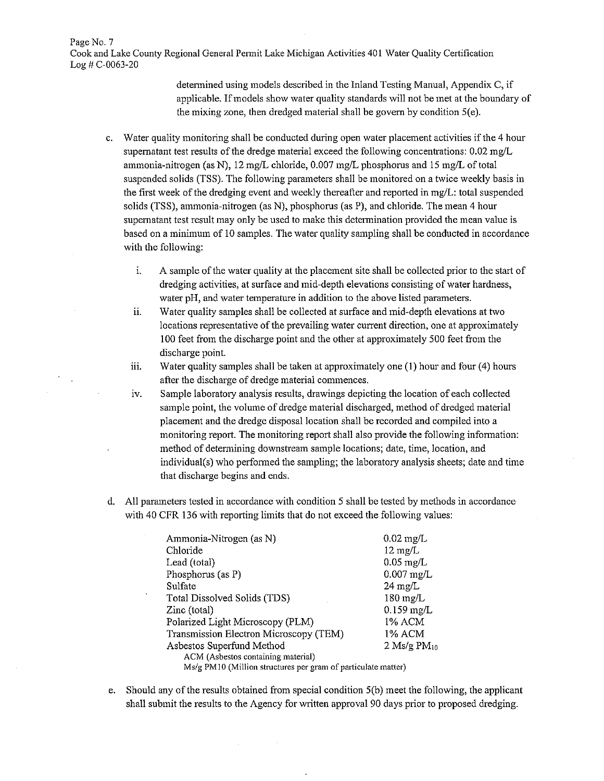Page No. 7 Cook and Lake County Regional General Permit Lake Michigan Activities 401 Water Quality Certification Log# C-0063-20

> detennined using models described in the Inland Testing Manual, Appendix C, if applicable. If models show water quality standards will not be met at the boundary of the mixing zone, then dredged material shall be govern by condition 5(e).

- c. Water quality monitoring shall be conducted during open water placement activities if the 4 hour supernatant test results of the dredge material exceed the following concentrations: 0.02 mg/L ammonia-nitrogen (as N), 12 mg/L chloride, 0.007 mg/L phosphorus and 15 mg/L of total suspended solids (TSS). The following parameters shall be monitored on a twice weekly basis in the first week of the dredging event and weekly thereafter and reported in mg/L: total suspended solids (TSS), ammonia-nitrogen (as N), phosphorus (as P), and chloride. The mean 4 hour supernatant test result may only be used to make this detennination provided the mean value is based on a minimum of IO samples. The water quality sampling shall be conducted in accordance with the following:
	- 1. A sample of the water quality at the placement site shall be collected prior to the start of dredging activities, at surface and mid-depth elevations consisting of water hardness, water pH, and water temperature in addition to the above listed parameters.
	- ii. Water quality samples shall be collected at surface and mid-depth elevations at two locations representative of the prevailing water current direction, one at approximately I 00 feet from the discharge point and the other at approximately 500 feet from the discharge point.
	- iii. Water quality samples shall be taken at approximately one  $(1)$  hour and four  $(4)$  hours after the discharge of dredge material commences.
	- 1v. Sample laboratory analysis results, drawings depicting the location of each collected sample point, the volume of dredge material discharged, method of dredged material placement and the dredge disposal location shall be recorded and compiled into a monitoring report. The monitoring report shall also provide the following infonnation: method of determining downstream sample locations; date, time, location, and individual(s) who perfonned the sampling; the laboratory analysis sheets; date and time that discharge begins and ends.
- d. All parameters tested in accordance with condition 5 shall be tested by methods in accordance with 40 CFR 136 with reporting limits that do not exceed the following values:

| Ammonia-Nitrogen (as N)                                       | $0.02 \text{ mg/L}$ |
|---------------------------------------------------------------|---------------------|
| Chloride                                                      | $12 \text{ mg/L}$   |
| Lead (total)                                                  | $0.05$ mg/L         |
| Phosphorus (as P)                                             | $0.007$ mg/L        |
| Sulfate                                                       | $24 \text{ mg/L}$   |
| Total Dissolved Solids (TDS)                                  | $180 \text{ mg/L}$  |
| Zinc (total)                                                  | $0.159$ mg/L        |
| Polarized Light Microscopy (PLM)                              | 1% ACM              |
| Transmission Electron Microscopy (TEM)                        | 1% ACM              |
| Asbestos Superfund Method                                     | 2 Ms/g $PM_{10}$    |
| ACM (Asbestos containing material)                            |                     |
| Ms/g PM10 (Million structures per gram of particulate matter) |                     |

e. Should any of the results obtained from special condition 5(b) meet the following, the applicant shall submit the results to the Agency for written approval 90 days prior to proposed dredging.

 $\mathcal{L}_{\mathrm{eff}}$